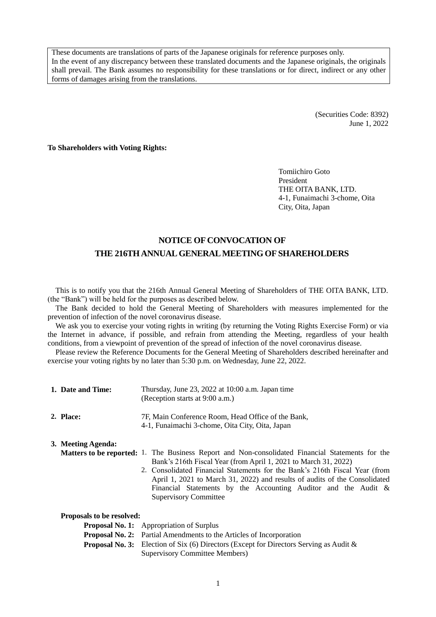These documents are translations of parts of the Japanese originals for reference purposes only. In the event of any discrepancy between these translated documents and the Japanese originals, the originals shall prevail. The Bank assumes no responsibility for these translations or for direct, indirect or any other forms of damages arising from the translations.

> (Securities Code: 8392) June 1, 2022

**To Shareholders with Voting Rights:**

Tomiichiro Goto President THE OITA BANK, LTD. 4-1, Funaimachi 3-chome, Oita City, Oita, Japan

# **NOTICE OF CONVOCATION OF THE 216TH ANNUAL GENERAL MEETING OF SHAREHOLDERS**

This is to notify you that the 216th Annual General Meeting of Shareholders of THE OITA BANK, LTD. (the "Bank") will be held for the purposes as described below.

The Bank decided to hold the General Meeting of Shareholders with measures implemented for the prevention of infection of the novel coronavirus disease.

We ask you to exercise your voting rights in writing (by returning the Voting Rights Exercise Form) or via the Internet in advance, if possible, and refrain from attending the Meeting, regardless of your health conditions, from a viewpoint of prevention of the spread of infection of the novel coronavirus disease.

Please review the Reference Documents for the General Meeting of Shareholders described hereinafter and exercise your voting rights by no later than 5:30 p.m. on Wednesday, June 22, 2022.

| 1. Date and Time: | Thursday, June 23, 2022 at 10:00 a.m. Japan time |
|-------------------|--------------------------------------------------|
|                   | (Reception starts at $9:00$ a.m.)                |
|                   |                                                  |

| 2. Place: | 7F, Main Conference Room, Head Office of the Bank, |
|-----------|----------------------------------------------------|
|           | 4-1, Funaimachi 3-chome, Oita City, Oita, Japan    |

#### **3. Meeting Agenda:**

- **Matters to be reported:** 1. The Business Report and Non-consolidated Financial Statements for the Bank's 216th Fiscal Year (from April 1, 2021 to March 31, 2022)
	- 2. Consolidated Financial Statements for the Bank's 216th Fiscal Year (from April 1, 2021 to March 31, 2022) and results of audits of the Consolidated Financial Statements by the Accounting Auditor and the Audit & Supervisory Committee

| Proposals to be resolved: |                                                                                                  |  |  |
|---------------------------|--------------------------------------------------------------------------------------------------|--|--|
|                           | <b>Proposal No. 1:</b> Appropriation of Surplus                                                  |  |  |
|                           | <b>Proposal No. 2:</b> Partial Amendments to the Articles of Incorporation                       |  |  |
|                           | <b>Proposal No. 3:</b> Election of Six (6) Directors (Except for Directors Serving as Audit $\&$ |  |  |
|                           | Supervisory Committee Members)                                                                   |  |  |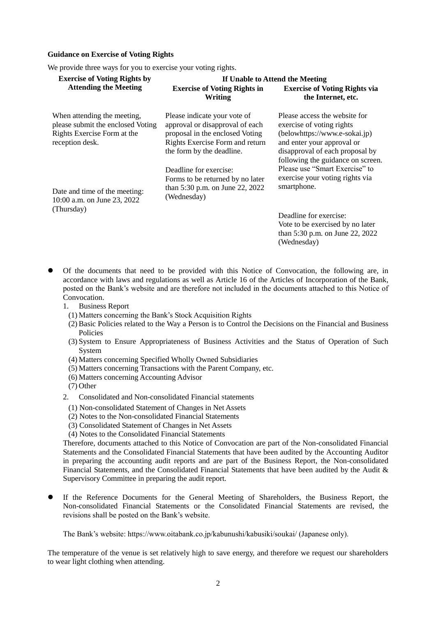#### **Guidance on Exercise of Voting Rights**

We provide three ways for you to exercise your voting rights.

| <b>Exercise of Voting Rights by</b>                                                                                | If Unable to Attend the Meeting                                                                                                                                    |                                                                                                                                                                                                   |  |
|--------------------------------------------------------------------------------------------------------------------|--------------------------------------------------------------------------------------------------------------------------------------------------------------------|---------------------------------------------------------------------------------------------------------------------------------------------------------------------------------------------------|--|
| <b>Attending the Meeting</b>                                                                                       | <b>Exercise of Voting Rights in</b><br>Writing                                                                                                                     | <b>Exercise of Voting Rights via</b><br>the Internet, etc.                                                                                                                                        |  |
| When attending the meeting,<br>please submit the enclosed Voting<br>Rights Exercise Form at the<br>reception desk. | Please indicate your vote of<br>approval or disapproval of each<br>proposal in the enclosed Voting<br>Rights Exercise Form and return<br>the form by the deadline. | Please access the website for<br>exercise of voting rights<br>(belowhttps://www.e-sokai.jp)<br>and enter your approval or<br>disapproval of each proposal by<br>following the guidance on screen. |  |
| Date and time of the meeting:<br>10:00 a.m. on June 23, 2022                                                       | Deadline for exercise:<br>Forms to be returned by no later<br>than 5:30 p.m. on June 22, 2022<br>(Wednesday)                                                       | Please use "Smart Exercise" to<br>exercise your voting rights via<br>smartphone.                                                                                                                  |  |
| (Thursday)                                                                                                         |                                                                                                                                                                    | Deadline for exercise:<br>Vote to be exercised by no later<br>than 5:30 p.m. on June 22, 2022<br>(Wednesday)                                                                                      |  |

- Of the documents that need to be provided with this Notice of Convocation, the following are, in accordance with laws and regulations as well as Article 16 of the Articles of Incorporation of the Bank, posted on the Bank's website and are therefore not included in the documents attached to this Notice of Convocation.
	- 1. Business Report
		- (1) Matters concerning the Bank's Stock Acquisition Rights
		- (2)Basic Policies related to the Way a Person is to Control the Decisions on the Financial and Business Policies
		- (3) System to Ensure Appropriateness of Business Activities and the Status of Operation of Such System
		- (4) Matters concerning Specified Wholly Owned Subsidiaries
		- (5) Matters concerning Transactions with the Parent Company, etc.
		- (6) Matters concerning Accounting Advisor
		- (7) Other
	- 2. Consolidated and Non-consolidated Financial statements
		- (1) Non-consolidated Statement of Changes in Net Assets
		- (2) Notes to the Non-consolidated Financial Statements
		- (3) Consolidated Statement of Changes in Net Assets
		- (4) Notes to the Consolidated Financial Statements

Therefore, documents attached to this Notice of Convocation are part of the Non-consolidated Financial Statements and the Consolidated Financial Statements that have been audited by the Accounting Auditor in preparing the accounting audit reports and are part of the Business Report, the Non-consolidated Financial Statements, and the Consolidated Financial Statements that have been audited by the Audit & Supervisory Committee in preparing the audit report.

 If the Reference Documents for the General Meeting of Shareholders, the Business Report, the Non-consolidated Financial Statements or the Consolidated Financial Statements are revised, the revisions shall be posted on the Bank's website.

The Bank's website: https://www.oitabank.co.jp/kabunushi/kabusiki/soukai/ (Japanese only).

The temperature of the venue is set relatively high to save energy, and therefore we request our shareholders to wear light clothing when attending.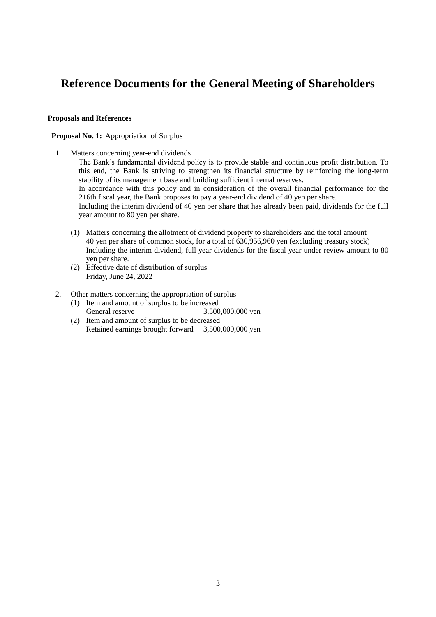# **Reference Documents for the General Meeting of Shareholders**

## **Proposals and References**

## **Proposal No. 1:** Appropriation of Surplus

1. Matters concerning year-end dividends

The Bank's fundamental dividend policy is to provide stable and continuous profit distribution. To this end, the Bank is striving to strengthen its financial structure by reinforcing the long-term stability of its management base and building sufficient internal reserves. In accordance with this policy and in consideration of the overall financial performance for the 216th fiscal year, the Bank proposes to pay a year-end dividend of 40 yen per share. Including the interim dividend of 40 yen per share that has already been paid, dividends for the full year amount to 80 yen per share.

- (1) Matters concerning the allotment of dividend property to shareholders and the total amount 40 yen per share of common stock, for a total of 630,956,960 yen (excluding treasury stock) Including the interim dividend, full year dividends for the fiscal year under review amount to 80 yen per share.
- (2) Effective date of distribution of surplus Friday, June 24, 2022
- 2. Other matters concerning the appropriation of surplus
	- (1) Item and amount of surplus to be increased General reserve 3,500,000,000 yen
	- (2) Item and amount of surplus to be decreased Retained earnings brought forward 3,500,000,000 yen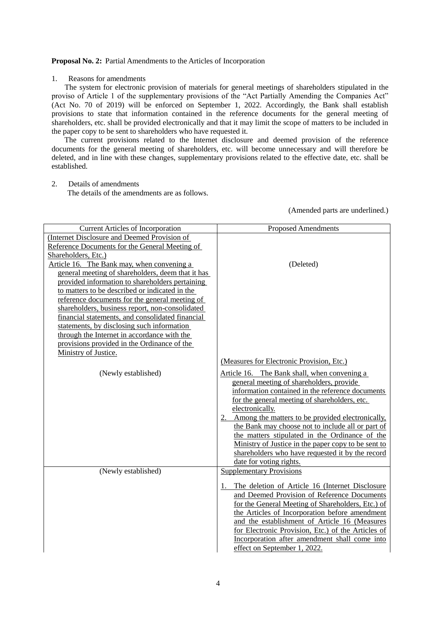#### **Proposal No. 2:** Partial Amendments to the Articles of Incorporation

#### 1. Reasons for amendments

The system for electronic provision of materials for general meetings of shareholders stipulated in the proviso of Article 1 of the supplementary provisions of the "Act Partially Amending the Companies Act" (Act No. 70 of 2019) will be enforced on September 1, 2022. Accordingly, the Bank shall establish provisions to state that information contained in the reference documents for the general meeting of shareholders, etc. shall be provided electronically and that it may limit the scope of matters to be included in the paper copy to be sent to shareholders who have requested it.

The current provisions related to the Internet disclosure and deemed provision of the reference documents for the general meeting of shareholders, etc. will become unnecessary and will therefore be deleted, and in line with these changes, supplementary provisions related to the effective date, etc. shall be established.

# 2. Details of amendments

The details of the amendments are as follows.

(Amended parts are underlined.)

| <b>Current Articles of Incorporation</b>          | <b>Proposed Amendments</b>                                                                              |
|---------------------------------------------------|---------------------------------------------------------------------------------------------------------|
| (Internet Disclosure and Deemed Provision of      |                                                                                                         |
| Reference Documents for the General Meeting of    |                                                                                                         |
| Shareholders, Etc.)                               |                                                                                                         |
| Article 16. The Bank may, when convening a        | (Deleted)                                                                                               |
| general meeting of shareholders, deem that it has |                                                                                                         |
| provided information to shareholders pertaining   |                                                                                                         |
| to matters to be described or indicated in the    |                                                                                                         |
| reference documents for the general meeting of    |                                                                                                         |
| shareholders, business report, non-consolidated   |                                                                                                         |
| financial statements, and consolidated financial  |                                                                                                         |
| statements, by disclosing such information        |                                                                                                         |
| through the Internet in accordance with the       |                                                                                                         |
| provisions provided in the Ordinance of the       |                                                                                                         |
| Ministry of Justice.                              |                                                                                                         |
|                                                   | (Measures for Electronic Provision, Etc.)                                                               |
| (Newly established)                               | Article 16. The Bank shall, when convening a                                                            |
|                                                   | general meeting of shareholders, provide                                                                |
|                                                   | information contained in the reference documents                                                        |
|                                                   | for the general meeting of shareholders, etc.                                                           |
|                                                   | electronically.                                                                                         |
|                                                   | Among the matters to be provided electronically,                                                        |
|                                                   | the Bank may choose not to include all or part of                                                       |
|                                                   | the matters stipulated in the Ordinance of the                                                          |
|                                                   | Ministry of Justice in the paper copy to be sent to<br>shareholders who have requested it by the record |
|                                                   | date for voting rights.                                                                                 |
| (Newly established)                               | <b>Supplementary Provisions</b>                                                                         |
|                                                   |                                                                                                         |
|                                                   | The deletion of Article 16 (Internet Disclosure                                                         |
|                                                   | and Deemed Provision of Reference Documents                                                             |
|                                                   | for the General Meeting of Shareholders, Etc.) of                                                       |
|                                                   | the Articles of Incorporation before amendment                                                          |
|                                                   | and the establishment of Article 16 (Measures                                                           |
|                                                   | for Electronic Provision, Etc.) of the Articles of                                                      |
|                                                   | Incorporation after amendment shall come into                                                           |
|                                                   | effect on September 1, 2022.                                                                            |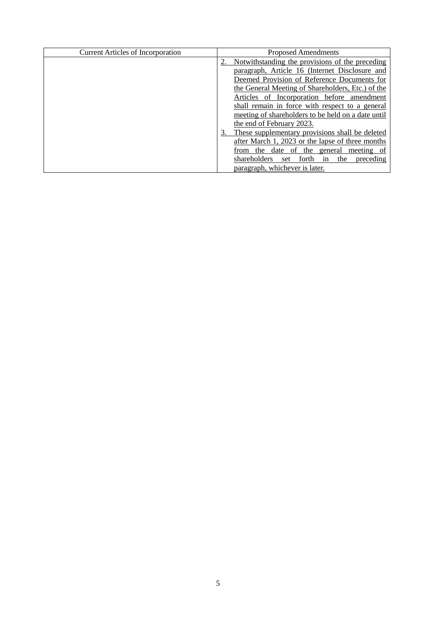| <b>Current Articles of Incorporation</b> | <b>Proposed Amendments</b>                             |
|------------------------------------------|--------------------------------------------------------|
|                                          | Notwithstanding the provisions of the preceding        |
|                                          | paragraph, Article 16 (Internet Disclosure and         |
|                                          | Deemed Provision of Reference Documents for            |
|                                          | the General Meeting of Shareholders, Etc.) of the      |
|                                          | Articles of Incorporation before amendment             |
|                                          | shall remain in force with respect to a general        |
|                                          | meeting of shareholders to be held on a date until     |
|                                          | the end of February 2023.                              |
|                                          | These supplementary provisions shall be deleted<br>3.  |
|                                          | after March 1, 2023 or the lapse of three months       |
|                                          | from the date of the general<br>meeting of             |
|                                          | shareholders<br>forth<br>the<br>preceding<br>set<br>in |
|                                          | paragraph, whichever is later.                         |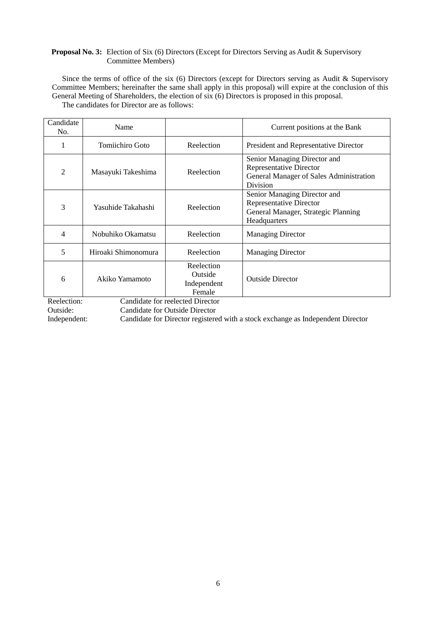# **Proposal No. 3:** Election of Six (6) Directors (Except for Directors Serving as Audit & Supervisory Committee Members)

Since the terms of office of the six (6) Directors (except for Directors serving as Audit & Supervisory Committee Members; hereinafter the same shall apply in this proposal) will expire at the conclusion of this General Meeting of Shareholders, the election of six (6) Directors is proposed in this proposal. The candidates for Director are as follows:

| Candidate<br>No. | Name                |                                                | Current positions at the Bank                                                                                         |
|------------------|---------------------|------------------------------------------------|-----------------------------------------------------------------------------------------------------------------------|
| 1                | Tomiichiro Goto     | Reelection                                     | President and Representative Director                                                                                 |
| $\overline{2}$   | Masayuki Takeshima  | Reelection                                     | Senior Managing Director and<br><b>Representative Director</b><br>General Manager of Sales Administration<br>Division |
| 3                | Yasuhide Takahashi  | Reelection                                     | Senior Managing Director and<br><b>Representative Director</b><br>General Manager, Strategic Planning<br>Headquarters |
| 4                | Nobuhiko Okamatsu   | Reelection                                     | <b>Managing Director</b>                                                                                              |
| 5                | Hiroaki Shimonomura | Reelection                                     | <b>Managing Director</b>                                                                                              |
| 6                | Akiko Yamamoto      | Reelection<br>Outside<br>Independent<br>Female | <b>Outside Director</b>                                                                                               |
| Reelection:      |                     | Candidate for reelected Director               |                                                                                                                       |
| Outside:         |                     | <b>Candidate for Outside Director</b>          |                                                                                                                       |

Independent: Candidate for Director registered with a stock exchange as Independent Director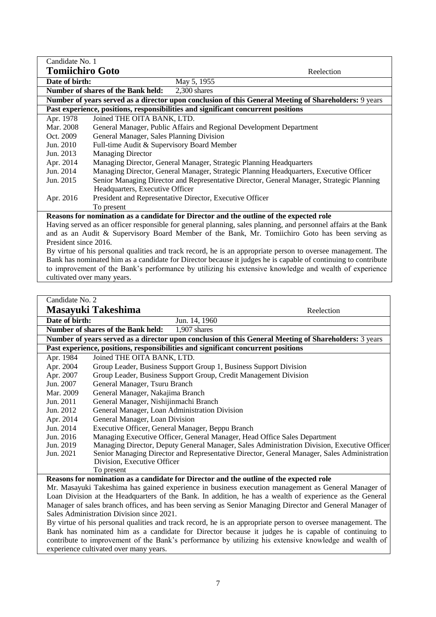| Candidate No. 1                                                                                                 |                                                                                                       |  |  |
|-----------------------------------------------------------------------------------------------------------------|-------------------------------------------------------------------------------------------------------|--|--|
| <b>Tomiichiro Goto</b><br>Reelection                                                                            |                                                                                                       |  |  |
| Date of birth:<br>May 5, 1955                                                                                   |                                                                                                       |  |  |
|                                                                                                                 | Number of shares of the Bank held:<br>2,300 shares                                                    |  |  |
|                                                                                                                 | Number of years served as a director upon conclusion of this General Meeting of Shareholders: 9 years |  |  |
|                                                                                                                 | Past experience, positions, responsibilities and significant concurrent positions                     |  |  |
| Apr. 1978                                                                                                       | Joined THE OITA BANK, LTD.                                                                            |  |  |
| Mar. 2008                                                                                                       | General Manager, Public Affairs and Regional Development Department                                   |  |  |
| Oct. 2009                                                                                                       | General Manager, Sales Planning Division                                                              |  |  |
| Jun. 2010                                                                                                       | Full-time Audit & Supervisory Board Member                                                            |  |  |
| Jun. 2013                                                                                                       | <b>Managing Director</b>                                                                              |  |  |
| Apr. 2014                                                                                                       | Managing Director, General Manager, Strategic Planning Headquarters                                   |  |  |
| Jun. 2014                                                                                                       | Managing Director, General Manager, Strategic Planning Headquarters, Executive Officer                |  |  |
| Jun. 2015                                                                                                       | Senior Managing Director and Representative Director, General Manager, Strategic Planning             |  |  |
|                                                                                                                 | Headquarters, Executive Officer                                                                       |  |  |
| Apr. 2016                                                                                                       | President and Representative Director, Executive Officer                                              |  |  |
|                                                                                                                 | To present                                                                                            |  |  |
|                                                                                                                 | Reasons for nomination as a candidate for Director and the outline of the expected role               |  |  |
| Having served as an officer responsible for general planning, sales planning, and personnel affairs at the Bank |                                                                                                       |  |  |
| and as an Audit & Supervisory Board Member of the Bank, Mr. Tomiichiro Goto has been serving as                 |                                                                                                       |  |  |
| President since 2016.                                                                                           |                                                                                                       |  |  |
| By virtue of his personal qualities and track record, he is an appropriate person to oversee management. The    |                                                                                                       |  |  |
| Bank has nominated him as a candidate for Director because it judges he is capable of continuing to contribute  |                                                                                                       |  |  |
| to improvement of the Bank's performance by utilizing his extensive knowledge and wealth of experience          |                                                                                                       |  |  |
|                                                                                                                 | cultivated over many years.                                                                           |  |  |

| Number of shares of the Bank held:<br>$1,907$ shares                                                                                                                                                                |  |  |  |
|---------------------------------------------------------------------------------------------------------------------------------------------------------------------------------------------------------------------|--|--|--|
| Number of years served as a director upon conclusion of this General Meeting of Shareholders: 3 years                                                                                                               |  |  |  |
|                                                                                                                                                                                                                     |  |  |  |
|                                                                                                                                                                                                                     |  |  |  |
|                                                                                                                                                                                                                     |  |  |  |
|                                                                                                                                                                                                                     |  |  |  |
|                                                                                                                                                                                                                     |  |  |  |
|                                                                                                                                                                                                                     |  |  |  |
| General Manager, Nishijinmachi Branch                                                                                                                                                                               |  |  |  |
| General Manager, Loan Administration Division                                                                                                                                                                       |  |  |  |
| General Manager, Loan Division                                                                                                                                                                                      |  |  |  |
| Executive Officer, General Manager, Beppu Branch                                                                                                                                                                    |  |  |  |
| Managing Executive Officer, General Manager, Head Office Sales Department                                                                                                                                           |  |  |  |
| Managing Director, Deputy General Manager, Sales Administration Division, Executive Officer                                                                                                                         |  |  |  |
| Senior Managing Director and Representative Director, General Manager, Sales Administration                                                                                                                         |  |  |  |
| Division, Executive Officer<br>To present                                                                                                                                                                           |  |  |  |
|                                                                                                                                                                                                                     |  |  |  |
| Reasons for nomination as a candidate for Director and the outline of the expected role                                                                                                                             |  |  |  |
| Mr. Masayuki Takeshima has gained experience in business execution management as General Manager of                                                                                                                 |  |  |  |
| Loan Division at the Headquarters of the Bank. In addition, he has a wealth of experience as the General                                                                                                            |  |  |  |
| Manager of sales branch offices, and has been serving as Senior Managing Director and General Manager of<br>Sales Administration Division since 2021.                                                               |  |  |  |
|                                                                                                                                                                                                                     |  |  |  |
| By virtue of his personal qualities and track record, he is an appropriate person to oversee management. The<br>Bank has nominated him as a candidate for Director because it judges he is capable of continuing to |  |  |  |
| contribute to improvement of the Bank's performance by utilizing his extensive knowledge and wealth of                                                                                                              |  |  |  |
| experience cultivated over many years.                                                                                                                                                                              |  |  |  |
|                                                                                                                                                                                                                     |  |  |  |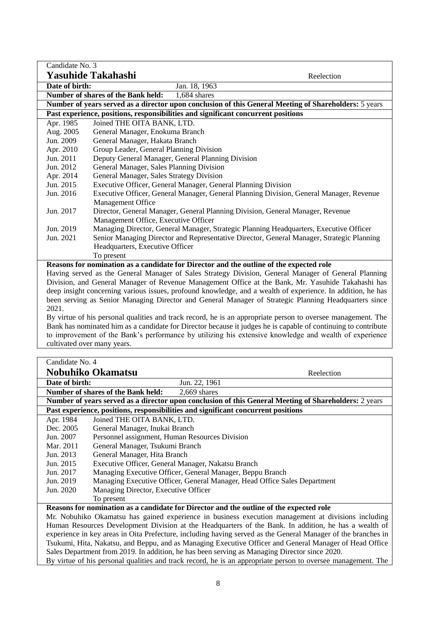| Candidate No. 3                                                                                                                           |                                                                                                              |  |  |
|-------------------------------------------------------------------------------------------------------------------------------------------|--------------------------------------------------------------------------------------------------------------|--|--|
|                                                                                                                                           | <b>Yasuhide Takahashi</b><br>Reelection                                                                      |  |  |
| Date of birth:                                                                                                                            | Jan. 18, 1963                                                                                                |  |  |
|                                                                                                                                           | Number of shares of the Bank held:<br>1,684 shares                                                           |  |  |
|                                                                                                                                           | Number of years served as a director upon conclusion of this General Meeting of Shareholders: 5 years        |  |  |
|                                                                                                                                           | Past experience, positions, responsibilities and significant concurrent positions                            |  |  |
| Apr. 1985                                                                                                                                 | Joined THE OITA BANK, LTD.                                                                                   |  |  |
| Aug. 2005                                                                                                                                 | General Manager, Enokuma Branch                                                                              |  |  |
| Jun. 2009                                                                                                                                 | General Manager, Hakata Branch                                                                               |  |  |
| Apr. 2010                                                                                                                                 | Group Leader, General Planning Division                                                                      |  |  |
| Jun. 2011                                                                                                                                 | Deputy General Manager, General Planning Division                                                            |  |  |
| Jun. 2012                                                                                                                                 | General Manager, Sales Planning Division                                                                     |  |  |
| Apr. 2014                                                                                                                                 | General Manager, Sales Strategy Division                                                                     |  |  |
| Jun. 2015                                                                                                                                 | Executive Officer, General Manager, General Planning Division                                                |  |  |
| Jun. 2016                                                                                                                                 | Executive Officer, General Manager, General Planning Division, General Manager, Revenue<br>Management Office |  |  |
| Jun. 2017                                                                                                                                 | Director, General Manager, General Planning Division, General Manager, Revenue                               |  |  |
| Jun. 2019                                                                                                                                 | Management Office, Executive Officer                                                                         |  |  |
|                                                                                                                                           | Managing Director, General Manager, Strategic Planning Headquarters, Executive Officer                       |  |  |
| Jun. 2021<br>Senior Managing Director and Representative Director, General Manager, Strategic Planning<br>Headquarters, Executive Officer |                                                                                                              |  |  |
| To present                                                                                                                                |                                                                                                              |  |  |
|                                                                                                                                           | Reasons for nomination as a candidate for Director and the outline of the expected role                      |  |  |
|                                                                                                                                           | Having served as the General Manager of Sales Strategy Division, General Manager of General Planning         |  |  |
| Division, and General Manager of Revenue Management Office at the Bank, Mr. Yasuhide Takahashi has                                        |                                                                                                              |  |  |
|                                                                                                                                           | deep insight concerning various issues, profound knowledge, and a wealth of experience. In addition, he has  |  |  |
| been serving as Senior Managing Director and General Manager of Strategic Planning Headquarters since                                     |                                                                                                              |  |  |
| 2021.                                                                                                                                     |                                                                                                              |  |  |
| By virtue of his personal qualities and track record, he is an appropriate person to oversee management. The                              |                                                                                                              |  |  |
| Bank has nominated him as a candidate for Director because it judges he is capable of continuing to contribute                            |                                                                                                              |  |  |
| to improvement of the Bank's performance by utilizing his extensive knowledge and wealth of experience                                    |                                                                                                              |  |  |
| cultivated over many years.                                                                                                               |                                                                                                              |  |  |
|                                                                                                                                           |                                                                                                              |  |  |
| Candidate No. 4                                                                                                                           |                                                                                                              |  |  |
|                                                                                                                                           | Nobuhiko Okamatsu<br>Reelection                                                                              |  |  |

|                                                                                                               | NODUNIKO UKAMATSU<br>Reelection                                                                              |  |
|---------------------------------------------------------------------------------------------------------------|--------------------------------------------------------------------------------------------------------------|--|
| Date of birth:                                                                                                | Jun. 22, 1961                                                                                                |  |
|                                                                                                               | Number of shares of the Bank held:<br>$2.669$ shares                                                         |  |
| Number of years served as a director upon conclusion of this General Meeting of Shareholders: 2 years         |                                                                                                              |  |
|                                                                                                               | Past experience, positions, responsibilities and significant concurrent positions                            |  |
| Apr. 1984                                                                                                     | Joined THE OITA BANK, LTD.                                                                                   |  |
| Dec. 2005                                                                                                     | General Manager, Inukai Branch                                                                               |  |
| Jun. 2007                                                                                                     | Personnel assignment, Human Resources Division                                                               |  |
| Mar. 2011                                                                                                     | General Manager, Tsukumi Branch                                                                              |  |
| Jun. 2013                                                                                                     | General Manager, Hita Branch                                                                                 |  |
| Jun. 2015                                                                                                     | Executive Officer, General Manager, Nakatsu Branch                                                           |  |
| Jun. 2017                                                                                                     | Managing Executive Officer, General Manager, Beppu Branch                                                    |  |
| Jun. 2019                                                                                                     | Managing Executive Officer, General Manager, Head Office Sales Department                                    |  |
| Jun. 2020                                                                                                     | Managing Director, Executive Officer                                                                         |  |
|                                                                                                               | To present                                                                                                   |  |
| Reasons for nomination as a candidate for Director and the outline of the expected role                       |                                                                                                              |  |
| Mr. Nobuhiko Okamatsu has gained experience in business execution management at divisions including           |                                                                                                              |  |
| Human Resources Development Division at the Headquarters of the Bank. In addition, he has a wealth of         |                                                                                                              |  |
| experience in key areas in Oita Prefecture, including having served as the General Manager of the branches in |                                                                                                              |  |
| Tsukumi, Hita, Nakatsu, and Beppu, and as Managing Executive Officer and General Manager of Head Office       |                                                                                                              |  |
| Sales Department from 2019. In addition, he has been serving as Managing Director since 2020.                 |                                                                                                              |  |
|                                                                                                               | By virtue of his personal qualities and track record, he is an appropriate person to oversee management. The |  |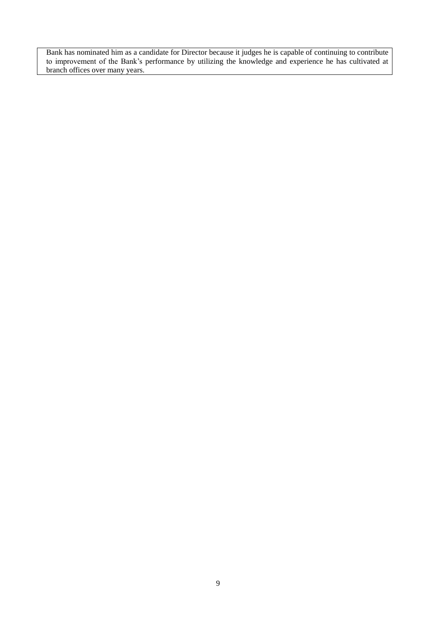Bank has nominated him as a candidate for Director because it judges he is capable of continuing to contribute to improvement of the Bank's performance by utilizing the knowledge and experience he has cultivated at branch offices over many years.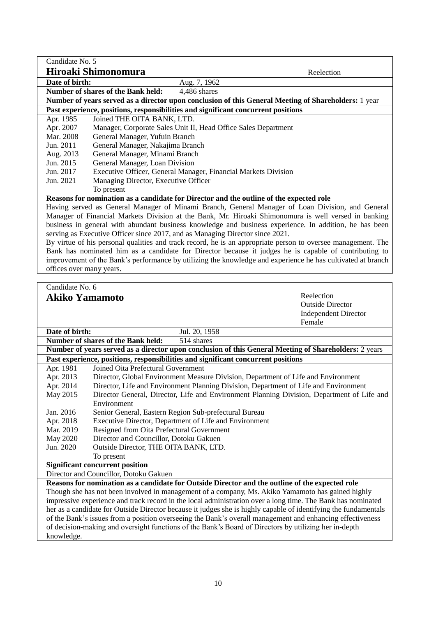| Candidate No. 5                                                                                             |                                                                                                              |                                                                                            |  |
|-------------------------------------------------------------------------------------------------------------|--------------------------------------------------------------------------------------------------------------|--------------------------------------------------------------------------------------------|--|
|                                                                                                             | Hiroaki Shimonomura                                                                                          | Reelection                                                                                 |  |
| Date of birth:                                                                                              | Aug. 7, 1962                                                                                                 |                                                                                            |  |
|                                                                                                             | Number of shares of the Bank held:<br>4,486 shares                                                           |                                                                                            |  |
|                                                                                                             | Number of years served as a director upon conclusion of this General Meeting of Shareholders: 1 year         |                                                                                            |  |
|                                                                                                             | Past experience, positions, responsibilities and significant concurrent positions                            |                                                                                            |  |
| Apr. 1985                                                                                                   | Joined THE OITA BANK, LTD.                                                                                   |                                                                                            |  |
| Apr. 2007                                                                                                   | Manager, Corporate Sales Unit II, Head Office Sales Department                                               |                                                                                            |  |
| Mar. 2008                                                                                                   | General Manager, Yufuin Branch                                                                               |                                                                                            |  |
| Jun. 2011                                                                                                   | General Manager, Nakajima Branch                                                                             |                                                                                            |  |
| Aug. 2013                                                                                                   | General Manager, Minami Branch                                                                               |                                                                                            |  |
| Jun. 2015                                                                                                   | General Manager, Loan Division                                                                               |                                                                                            |  |
| Jun. 2017                                                                                                   | Executive Officer, General Manager, Financial Markets Division                                               |                                                                                            |  |
|                                                                                                             |                                                                                                              |                                                                                            |  |
| Jun. 2021                                                                                                   | Managing Director, Executive Officer                                                                         |                                                                                            |  |
|                                                                                                             | To present                                                                                                   |                                                                                            |  |
|                                                                                                             | Reasons for nomination as a candidate for Director and the outline of the expected role                      |                                                                                            |  |
|                                                                                                             | Having served as General Manager of Minami Branch, General Manager of Loan Division, and General             |                                                                                            |  |
|                                                                                                             | Manager of Financial Markets Division at the Bank, Mr. Hiroaki Shimonomura is well versed in banking         |                                                                                            |  |
|                                                                                                             | business in general with abundant business knowledge and business experience. In addition, he has been       |                                                                                            |  |
|                                                                                                             | serving as Executive Officer since 2017, and as Managing Director since 2021.                                |                                                                                            |  |
|                                                                                                             | By virtue of his personal qualities and track record, he is an appropriate person to oversee management. The |                                                                                            |  |
|                                                                                                             | Bank has nominated him as a candidate for Director because it judges he is capable of contributing to        |                                                                                            |  |
| improvement of the Bank's performance by utilizing the knowledge and experience he has cultivated at branch |                                                                                                              |                                                                                            |  |
| offices over many years.                                                                                    |                                                                                                              |                                                                                            |  |
|                                                                                                             |                                                                                                              |                                                                                            |  |
| Candidate No. 6                                                                                             |                                                                                                              |                                                                                            |  |
| Akiko Yamamoto                                                                                              |                                                                                                              | Reelection                                                                                 |  |
|                                                                                                             |                                                                                                              | <b>Outside Director</b>                                                                    |  |
|                                                                                                             |                                                                                                              | <b>Independent Director</b>                                                                |  |
|                                                                                                             |                                                                                                              | Female                                                                                     |  |
| Date of birth:                                                                                              | Jul. 20, 1958                                                                                                |                                                                                            |  |
|                                                                                                             | Number of shares of the Bank held:<br>514 shares                                                             |                                                                                            |  |
|                                                                                                             | Number of years served as a director upon conclusion of this General Meeting of Shareholders: 2 years        |                                                                                            |  |
| Past experience, positions, responsibilities and significant concurrent positions                           |                                                                                                              |                                                                                            |  |
| Apr. 1981                                                                                                   | Joined Oita Prefectural Government                                                                           |                                                                                            |  |
| Apr. 2013                                                                                                   | Director, Global Environment Measure Division, Department of Life and Environment                            |                                                                                            |  |
| Apr. 2014                                                                                                   | Director, Life and Environment Planning Division, Department of Life and Environment                         |                                                                                            |  |
| May 2015                                                                                                    |                                                                                                              | Director General, Director, Life and Environment Planning Division, Department of Life and |  |
|                                                                                                             | Environment                                                                                                  |                                                                                            |  |
| Jan. 2016                                                                                                   | Senior General, Eastern Region Sub-prefectural Bureau                                                        |                                                                                            |  |
| Apr. 2018                                                                                                   | Executive Director, Department of Life and Environment                                                       |                                                                                            |  |
| Mar. 2019                                                                                                   | Resigned from Oita Prefectural Government                                                                    |                                                                                            |  |
| <b>May 2020</b>                                                                                             | Director and Councillor, Dotoku Gakuen                                                                       |                                                                                            |  |
|                                                                                                             |                                                                                                              |                                                                                            |  |

Jun. 2020 Outside Director, THE OITA BANK, LTD.

To present

**Significant concurrent position**

Director and Councillor, Dotoku Gakuen

**Reasons for nomination as a candidate for Outside Director and the outline of the expected role** Though she has not been involved in management of a company, Ms. Akiko Yamamoto has gained highly impressive experience and track record in the local administration over a long time. The Bank has nominated her as a candidate for Outside Director because it judges she is highly capable of identifying the fundamentals of the Bank's issues from a position overseeing the Bank's overall management and enhancing effectiveness of decision-making and oversight functions of the Bank's Board of Directors by utilizing her in-depth knowledge.